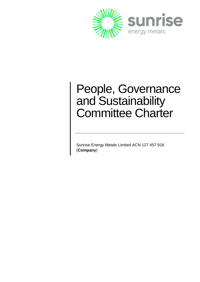

# People, Governance and Sustainability Committee Charter

Sunrise Energy Metals Limited ACN 127 457 916 (**Company**)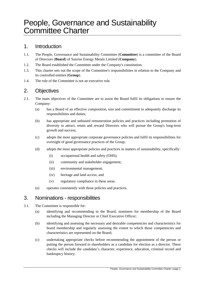# People, Governance and Sustainability Committee Charter

#### 1. Introduction

- 1.1. The People, Governance and Sustainability Committee (**Committee**) is a committee of the Board of Directors (**Board**) of Sunrise Energy Metals Limited (**Company**).
- 1.2. The Board established the Committee under the Company's constitution.
- 1.3. This charter sets out the scope of the Committee's responsibilities in relation to the Company and its controlled entities (**Group**).
- 1.4. The role of the Committee is not an executive role.

# 2. Objectives

- 2.1. The main objectives of the Committee are to assist the Board fulfil its obligations to ensure the Company:
	- (a) has a Board of an effective composition, size and commitment to adequately discharge its responsibilities and duties;
	- (b) has appropriate and unbiased remuneration policies and practices including promotion of diversity to attract, retain and reward Directors who will pursue the Group's long-term growth and success;
	- (c) adopts the most appropriate corporate governance policies and fulfil its responsibilities for oversight of good governance practices of the Group;
	- (d) adopts the most appropriate policies and practices in matters of sustainability, specifically:
		- (i) occupational health and safety (OHS);
		- (ii) community and stakeholder engagement;
		- (iii) environmental management;
		- (iv) heritage and land access; and
		- (v) regulatory compliance in these areas.
	- (e) operates consistently with those policies and practices.

# 3. Nominations - responsibilities

- 3.1. The Committee is responsible for:
	- (a) identifying and recommending to the Board, nominees for membership of the Board including the Managing Director or Chief Executive Officer;
	- (b) identifying and assessing the necessary and desirable competencies and characteristics for board membership and regularly assessing the extent to which those competencies and characteristics are represented on the Board;
	- (c) undertaking appropriate checks before recommending the appointment of the person or putting the person forward to shareholders as a candidate for election as a director. These checks will include the candidate's character, experience, education, criminal record and bankruptcy history;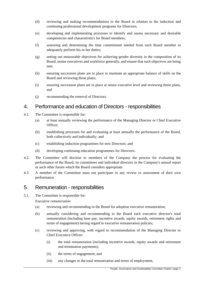- (d) reviewing and making recommendations to the Board in relation to the induction and continuing professional development programs for Directors;
- (e) developing and implementing processes to identify and assess necessary and desirable competencies and characteristics for Board members;
- (f) assessing and determining the time commitment needed from each Board member to adequately perform his or her duties;
- (g) setting out measurable objectives for achieving gender diversity in the composition of its Board, senior executives and workforce generally, and ensure that such objectives are being met;
- (h) ensuring succession plans are in place to maintain an appropriate balance of skills on the Board and reviewing those plans;
- (i) ensuring succession plans are in place at senior executive level and reviewing those plans, and
- (j) recommending the removal of Directors.

#### 4. Performance and education of Directors - responsibilities

- 4.1. The Committee is responsible for:
	- (a) at least annually reviewing the performance of the Managing Director or Chief Executive Officer;
	- (b) establishing processes for and evaluating at least annually the performance of the Board, both collectively and individually; and
	- (c) establishing induction programmes for new Directors; and
	- (d) developing continuing education programmes for Directors.
- 4.2. The Committee will disclose to members of the Company the process for evaluating the performance of the Board, its committees and individual directors in the Company's annual report or such other forum which the Board considers appropriate.
- 4.3. A member of the Committee must not participate in any review or assessment of their own performance.

#### 5. Remuneration - responsibilities

5.1. The Committee is responsible for:

*Executive remuneration*

- (a) reviewing and recommending to the Board for adoption executive remuneration;
- (b) annually considering and recommending to the Board each executive director's total remuneration (including base pay, incentive awards, equity awards, retirement rights and terms of engagement) having regard to executive remuneration policies;
- (c) reviewing and approving, with regard to recommendation of the Managing Director or Chief Executive Officer:
	- (i) the total remuneration (including incentive awards, equity awards and retirement and termination payments);
	- (ii) the terms of engagement; and
	- (iii) any changes to the total remuneration and terms of employment,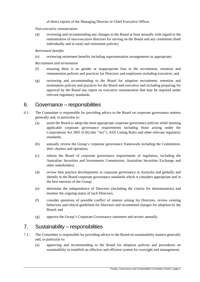of direct reports of the Managing Director or Chief Executive Officer.

*Non-executive remuneration*

(d) reviewing and recommending any changes to the Board at least annually with regard to the remuneration of non-executive directors for serving on the Board and any committee (both individually and in total) and retirement policies;

*Retirement benefits*

(e) reviewing retirement benefits including superannuation arrangements as appropriate;

*Recruitment and termination*

- (f) ensuring there is no gender or inappropriate bias in the recruitment, retention and remuneration policies and practices for Directors and employees including executive; and
- (g) reviewing and recommending to the Board for adoption recruitment, retention and termination policies and practices for the Board and executive and including preparing for approval by the Board any report on executive remuneration that may be required under relevant regulatory standards.

#### 6. Governance – responsibilities

- 6.1. The Committee is responsible for providing advice to the Board on corporate governance matters generally and, in particular to:
	- (a) assist the Board to adopt the most appropriate corporate governance policies while meeting applicable corporate governance requirements including those arising under the Corporations Act 2001 (Cth) (the "Act"), ASX Listing Rules and other relevant regulatory standards;
	- (b) annually review the Group's corporate governance framework including the Committees, their charters and operation;
	- (c) inform the Board of corporate governance requirements of regulators, including the Australian Securities and Investments Commission, Australian Securities Exchange and other stakeholders;
	- (d) review best practice developments in corporate governance in Australia and globally and identify to the Board corporate governance standards which it considers appropriate and in the best interests of the Group;
	- (e) determine the independence of Directors (including the criteria for determination) and monitor the ongoing status of such Directors;
	- (f) consider questions of possible conflict of interest arising for Directors, review existing behaviour and ethical guidelines for Directors and recommend changes for adoption by the Board; and
	- (g) approve the Group's Corporate Governance statement and review annually.

#### 7. Sustainability – responsibilities

- 7.1. The Committee is responsible for providing advice to the Board on sustainability matters generally and, in particular to:
	- (a) approving and recommending to the Board for adoption policies and procedures on sustainability to establish an effective and efficient system for oversight and management;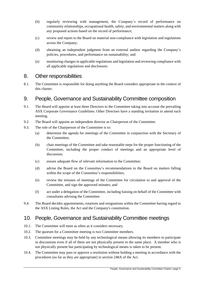- (b) regularly reviewing with management, the Company's record of performance on community relationships, occupational health, safety, and environmental matters along with any proposed actions based on the record of performance;
- (c) review and report to the Board on material non-compliance with legislation and regulations across the Company;
- (d) obtaining an independent judgment from an external auditor regarding the Company's policies, procedures, and performance on sustainability; and
- (e) monitoring changesin applicable regulations and legislation and reviewing compliance with all applicable regulations and disclosures.

# 8. Other responsibilities

8.1. The Committee is responsible for doing anything the Board considers appropriate in the context of this charter.

# 9. People, Governance and Sustainability Committee composition

- 9.1. The Board will appoint at least three Directors to the Committee taking into account the prevailing ASX Corporate Governance Guidelines. Other Directors have a standing invitation to attend each meeting.
- 9.2. The Board will appoint an independent director as Chairperson of the Committee.
- 9.3. The role of the Chairperson of the Committee is to:
	- (a) determine the agenda for meetings of the Committee in conjunction with the Secretary of the Committee;
	- (b) chair meetings of the Committee and take reasonable steps for the proper functioning of the Committee, including the proper conduct of meetings and an appropriate level of discussion;
	- (c) ensure adequate flow of relevant information to the Committee;
	- (d) advise the Board on the Committee's recommendations to the Board on matters falling within the scope of the Committee's responsibilities;
	- (e) review the minutes of meetings of the Committee for circulation to and approval of the Committee, and sign the approved minutes; and
	- (f) act under a delegation of the Committee, including liaising on behalf of the Committee with consultants advising the Committee.
- 9.4. The Board decides appointments, rotations and resignations within the Committee having regard to the ASX Listing Rules, the Act and the Company's constitution.

# 10. People, Governance and Sustainability Committee meetings

- 10.1. The Committee will meet as often as it considers necessary.
- 10.2. The quorum for a Committee meeting is two Committee members.
- 10.3. Committee meetings may be held by any technological means allowing its members to participate in discussions even if all of them are not physically present in the same place. A member who is not physically present but participating by technological means is taken to be present.
- 10.4. The Committee may pass or approve a resolution without holding a meeting in accordance with the procedures (so far as they are appropriate) in section 248A of the Act.